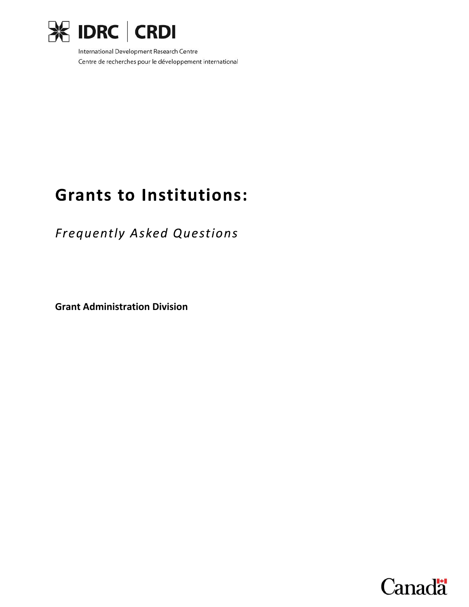

International Development Research Centre Centre de recherches pour le développement international

# **Grants to Institutions:**

**Frequently Asked Questions** 

**Grant Administration Division**

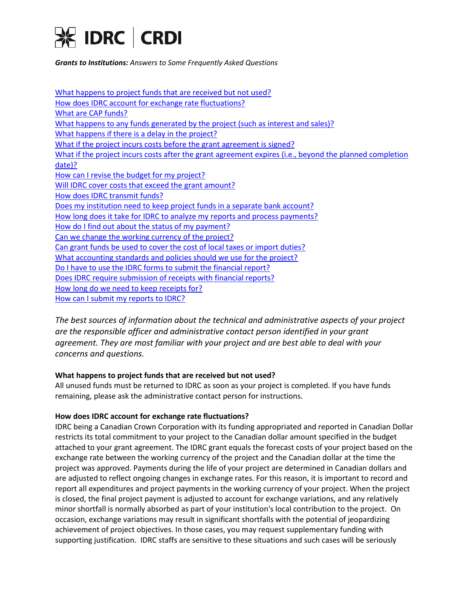

[What happens to project funds that are received but not used?](#page-1-0)  [How does IDRC account for exchange rate fluctuations?](#page-1-1)  [What are CAP funds?](#page-2-0)  [What happens to any funds generated by the project \(such as interest and sales\)?](#page-2-1)  What happens if there is a delay in the project? [What if the project incurs costs before the grant agreement is signed?](#page-2-3)  What if the project incurs costs after the grant agreement expires (i.e., beyond the planned completion [date\)?](#page-2-4)  [How can I revise the budget for my project?](#page-2-5)  [Will IDRC cover costs that exceed the grant amount?](#page-2-6)  [How does IDRC transmit funds?](#page-3-0)  Does my institution need to keep project funds in a separate bank account? [How long does it take for IDRC to analyze my reports and process payments?](#page-3-2) How do I find out about the status of my payment? [Can we change the working currency of the project?](#page-3-4)  [Can grant funds be used to cover the cost of local taxes or import duties?](#page-3-5) [What accounting standards and policies should we use for the project?](#page-4-0)  [Do I have to use the IDRC forms to submit the financial report?](#page-4-1)  [Does IDRC require submission of receipts with financial reports?](#page-4-2)  [How long do we need to keep receipts for?](#page-4-3)  [How can I submit my reports to IDRC?](#page-4-1)

*The best sources of information about the technical and administrative aspects of your project are the responsible officer and administrative contact person identified in your grant agreement. They are most familiar with your project and are best able to deal with your concerns and questions.*

# <span id="page-1-0"></span>**What happens to project funds that are received but not used?**

All unused funds must be returned to IDRC as soon as your project is completed. If you have funds remaining, please ask the administrative contact person for instructions.

# <span id="page-1-1"></span>**How does IDRC account for exchange rate fluctuations?**

IDRC being a Canadian Crown Corporation with its funding appropriated and reported in Canadian Dollar restricts its total commitment to your project to the Canadian dollar amount specified in the budget attached to your grant agreement. The IDRC grant equals the forecast costs of your project based on the exchange rate between the working currency of the project and the Canadian dollar at the time the project was approved. Payments during the life of your project are determined in Canadian dollars and are adjusted to reflect ongoing changes in exchange rates. For this reason, it is important to record and report all expenditures and project payments in the working currency of your project. When the project is closed, the final project payment is adjusted to account for exchange variations, and any relatively minor shortfall is normally absorbed as part of your institution's local contribution to the project. On occasion, exchange variations may result in significant shortfalls with the potential of jeopardizing achievement of project objectives. In those cases, you may request supplementary funding with supporting justification. IDRC staffs are sensitive to these situations and such cases will be seriously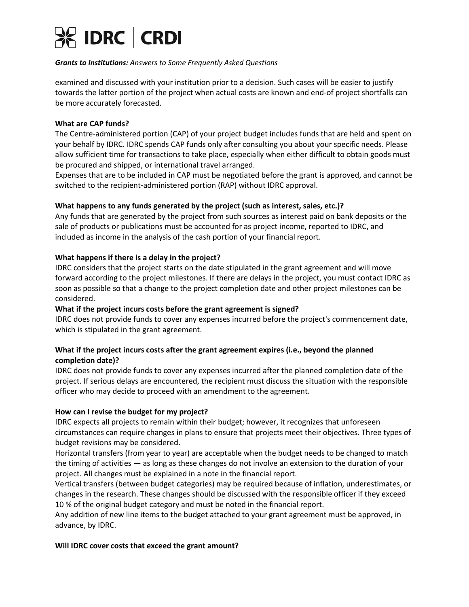

examined and discussed with your institution prior to a decision. Such cases will be easier to justify towards the latter portion of the project when actual costs are known and end-of project shortfalls can be more accurately forecasted.

# <span id="page-2-0"></span>**What are CAP funds?**

The Centre-administered portion (CAP) of your project budget includes funds that are held and spent on your behalf by IDRC. IDRC spends CAP funds only after consulting you about your specific needs. Please allow sufficient time for transactions to take place, especially when either difficult to obtain goods must be procured and shipped, or international travel arranged.

Expenses that are to be included in CAP must be negotiated before the grant is approved, and cannot be switched to the recipient-administered portion (RAP) without IDRC approval.

# <span id="page-2-1"></span>**What happens to any funds generated by the project (such as interest, sales, etc.)?**

Any funds that are generated by the project from such sources as interest paid on bank deposits or the sale of products or publications must be accounted for as project income, reported to IDRC, and included as income in the analysis of the cash portion of your financial report.

# <span id="page-2-2"></span>**What happens if there is a delay in the project?**

IDRC considers that the project starts on the date stipulated in the grant agreement and will move forward according to the project milestones. If there are delays in the project, you must contact IDRC as soon as possible so that a change to the project completion date and other project milestones can be considered.

# <span id="page-2-3"></span>**What if the project incurs costs before the grant agreement is signed?**

IDRC does not provide funds to cover any expenses incurred before the project's commencement date, which is stipulated in the grant agreement.

# <span id="page-2-4"></span>**What if the project incurs costs after the grant agreement expires (i.e., beyond the planned completion date)?**

IDRC does not provide funds to cover any expenses incurred after the planned completion date of the project. If serious delays are encountered, the recipient must discuss the situation with the responsible officer who may decide to proceed with an amendment to the agreement.

#### <span id="page-2-5"></span>**How can I revise the budget for my project?**

IDRC expects all projects to remain within their budget; however, it recognizes that unforeseen circumstances can require changes in plans to ensure that projects meet their objectives. Three types of budget revisions may be considered.

Horizontal transfers (from year to year) are acceptable when the budget needs to be changed to match the timing of activities — as long as these changes do not involve an extension to the duration of your project. All changes must be explained in a note in the financial report.

Vertical transfers (between budget categories) may be required because of inflation, underestimates, or changes in the research. These changes should be discussed with the responsible officer if they exceed 10 % of the original budget category and must be noted in the financial report.

Any addition of new line items to the budget attached to your grant agreement must be approved, in advance, by IDRC.

#### <span id="page-2-6"></span>**Will IDRC cover costs that exceed the grant amount?**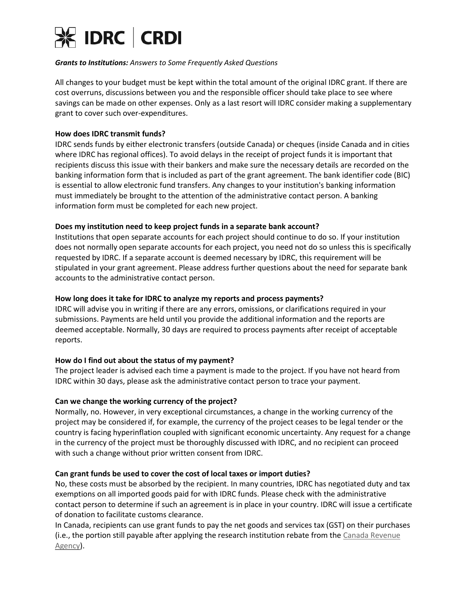

All changes to your budget must be kept within the total amount of the original IDRC grant. If there are cost overruns, discussions between you and the responsible officer should take place to see where savings can be made on other expenses. Only as a last resort will IDRC consider making a supplementary grant to cover such over-expenditures.

# <span id="page-3-0"></span>**How does IDRC transmit funds?**

IDRC sends funds by either electronic transfers (outside Canada) or cheques (inside Canada and in cities where IDRC has regional offices). To avoid delays in the receipt of project funds it is important that recipients discuss this issue with their bankers and make sure the necessary details are recorded on the banking information form that is included as part of the grant agreement. The bank identifier code (BIC) is essential to allow electronic fund transfers. Any changes to your institution's banking information must immediately be brought to the attention of the administrative contact person. A banking information form must be completed for each new project.

## <span id="page-3-1"></span>**Does my institution need to keep project funds in a separate bank account?**

Institutions that open separate accounts for each project should continue to do so. If your institution does not normally open separate accounts for each project, you need not do so unless this is specifically requested by IDRC. If a separate account is deemed necessary by IDRC, this requirement will be stipulated in your grant agreement. Please address further questions about the need for separate bank accounts to the administrative contact person.

## <span id="page-3-2"></span>**How long does it take for IDRC to analyze my reports and process payments?**

IDRC will advise you in writing if there are any errors, omissions, or clarifications required in your submissions. Payments are held until you provide the additional information and the reports are deemed acceptable. Normally, 30 days are required to process payments after receipt of acceptable reports.

# <span id="page-3-3"></span>**How do I find out about the status of my payment?**

The project leader is advised each time a payment is made to the project. If you have not heard from IDRC within 30 days, please ask the administrative contact person to trace your payment.

#### <span id="page-3-4"></span>**Can we change the working currency of the project?**

Normally, no. However, in very exceptional circumstances, a change in the working currency of the project may be considered if, for example, the currency of the project ceases to be legal tender or the country is facing hyperinflation coupled with significant economic uncertainty. Any request for a change in the currency of the project must be thoroughly discussed with IDRC, and no recipient can proceed with such a change without prior written consent from IDRC.

#### <span id="page-3-5"></span>**Can grant funds be used to cover the cost of local taxes or import duties?**

No, these costs must be absorbed by the recipient. In many countries, IDRC has negotiated duty and tax exemptions on all imported goods paid for with IDRC funds. Please check with the administrative contact person to determine if such an agreement is in place in your country. IDRC will issue a certificate of donation to facilitate customs clearance.

In Canada, recipients can use grant funds to pay the net goods and services tax (GST) on their purchases (i.e., the portion still payable after applying the research institution rebate from the [Canada Revenue](http://www.cra-arc.gc.ca/)  [Agency\)](http://www.cra-arc.gc.ca/).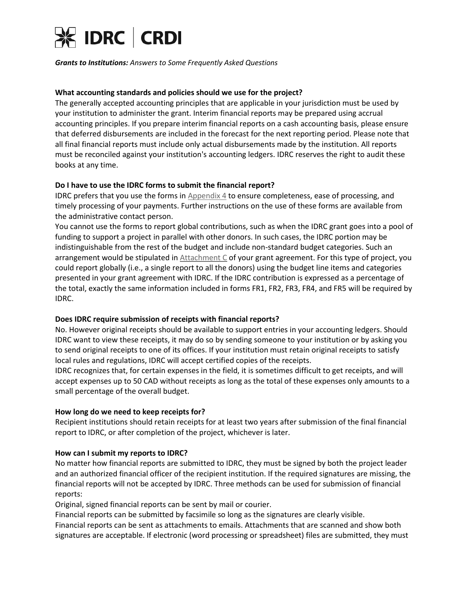

## <span id="page-4-0"></span>**What accounting standards and policies should we use for the project?**

The generally accepted accounting principles that are applicable in your jurisdiction must be used by your institution to administer the grant. Interim financial reports may be prepared using accrual accounting principles. If you prepare interim financial reports on a cash accounting basis, please ensure that deferred disbursements are included in the forecast for the next reporting period. Please note that all final financial reports must include only actual disbursements made by the institution. All reports must be reconciled against your institution's accounting ledgers. IDRC reserves the right to audit these books at any time.

# **Do I have to use the IDRC forms to submit the financial report?**

IDRC prefers that you use the forms in [Appendix 4](http://web.idrc.ca/en/ev-57117-201-1-DO_TOPIC.html) to ensure completeness, ease of processing, and timely processing of your payments. Further instructions on the use of these forms are available from the administrative contact person.

You cannot use the forms to report global contributions, such as when the IDRC grant goes into a pool of funding to support a project in parallel with other donors. In such cases, the IDRC portion may be indistinguishable from the rest of the budget and include non-standard budget categories. Such an arrangement would be stipulated in [Attachment C](http://web.idrc.ca/uploads/user-S/10446363920MGC-Att-A_e.pdf) of your grant agreement. For this type of project, you could report globally (i.e., a single report to all the donors) using the budget line items and categories presented in your grant agreement with IDRC. If the IDRC contribution is expressed as a percentage of the total, exactly the same information included in forms FR1, FR2, FR3, FR4, and FR5 will be required by IDRC.

# <span id="page-4-2"></span>**Does IDRC require submission of receipts with financial reports?**

No. However original receipts should be available to support entries in your accounting ledgers. Should IDRC want to view these receipts, it may do so by sending someone to your institution or by asking you to send original receipts to one of its offices. If your institution must retain original receipts to satisfy local rules and regulations, IDRC will accept certified copies of the receipts.

IDRC recognizes that, for certain expenses in the field, it is sometimes difficult to get receipts, and will accept expenses up to 50 CAD without receipts as long as the total of these expenses only amounts to a small percentage of the overall budget.

#### <span id="page-4-3"></span>**How long do we need to keep receipts for?**

Recipient institutions should retain receipts for at least two years after submission of the final financial report to IDRC, or after completion of the project, whichever is later.

#### <span id="page-4-1"></span>**How can I submit my reports to IDRC?**

No matter how financial reports are submitted to IDRC, they must be signed by both the project leader and an authorized financial officer of the recipient institution. If the required signatures are missing, the financial reports will not be accepted by IDRC. Three methods can be used for submission of financial reports:

Original, signed financial reports can be sent by mail or courier.

Financial reports can be submitted by facsimile so long as the signatures are clearly visible.

Financial reports can be sent as attachments to emails. Attachments that are scanned and show both signatures are acceptable. If electronic (word processing or spreadsheet) files are submitted, they must